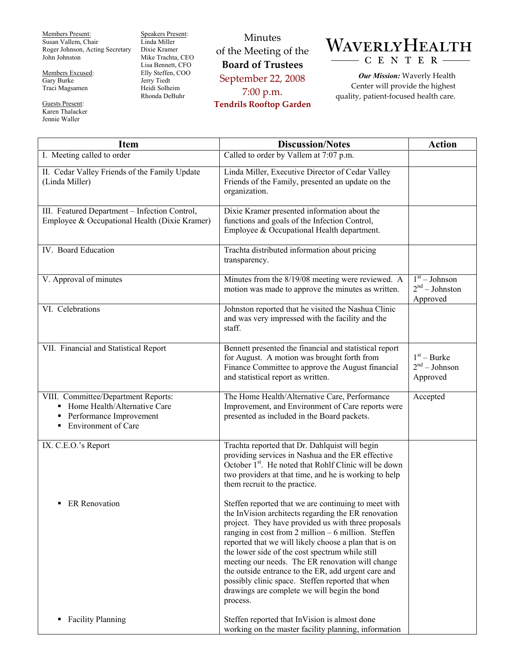Members Present: Susan Vallem, Chair Roger Johnson, Acting Secretary John Johnston

Members Excused: Gary Burke Traci Magsamen

Guests Present: Karen Thalacker Jennie Waller

Speakers Present: Linda Miller Dixie Kramer Mike Trachta, CEO Lisa Bennett, CFO Elly Steffen, COO Jerry Tiedt Heidi Solheim Rhonda DeBuhr

Minutes of the Meeting of the **Board of Trustees**  September 22, 2008 7:00 p.m. **Tendrils Rooftop Garden** 



*Our Mission:* Waverly Health Center will provide the highest quality, patient-focused health care.

| <b>Item</b>                                                                                                                              | <b>Discussion/Notes</b>                                                                                                                                                                                                                                                                                                                                                                                                                                                                                                                                              | <b>Action</b>                                   |
|------------------------------------------------------------------------------------------------------------------------------------------|----------------------------------------------------------------------------------------------------------------------------------------------------------------------------------------------------------------------------------------------------------------------------------------------------------------------------------------------------------------------------------------------------------------------------------------------------------------------------------------------------------------------------------------------------------------------|-------------------------------------------------|
| I. Meeting called to order                                                                                                               | Called to order by Vallem at 7:07 p.m.                                                                                                                                                                                                                                                                                                                                                                                                                                                                                                                               |                                                 |
| II. Cedar Valley Friends of the Family Update<br>(Linda Miller)                                                                          | Linda Miller, Executive Director of Cedar Valley<br>Friends of the Family, presented an update on the<br>organization.                                                                                                                                                                                                                                                                                                                                                                                                                                               |                                                 |
| III. Featured Department - Infection Control,<br>Employee & Occupational Health (Dixie Kramer)                                           | Dixie Kramer presented information about the<br>functions and goals of the Infection Control,<br>Employee & Occupational Health department.                                                                                                                                                                                                                                                                                                                                                                                                                          |                                                 |
| IV. Board Education                                                                                                                      | Trachta distributed information about pricing<br>transparency.                                                                                                                                                                                                                                                                                                                                                                                                                                                                                                       |                                                 |
| V. Approval of minutes                                                                                                                   | Minutes from the 8/19/08 meeting were reviewed. A<br>motion was made to approve the minutes as written.                                                                                                                                                                                                                                                                                                                                                                                                                                                              | $1st - Johnson$<br>$2nd - Johnston$<br>Approved |
| VI. Celebrations                                                                                                                         | Johnston reported that he visited the Nashua Clinic<br>and was very impressed with the facility and the<br>staff.                                                                                                                                                                                                                                                                                                                                                                                                                                                    |                                                 |
| VII. Financial and Statistical Report                                                                                                    | Bennett presented the financial and statistical report<br>for August. A motion was brought forth from<br>Finance Committee to approve the August financial<br>and statistical report as written.                                                                                                                                                                                                                                                                                                                                                                     | $1st - Burke$<br>$2nd - Johnson$<br>Approved    |
| VIII. Committee/Department Reports:<br>• Home Health/Alternative Care<br>Performance Improvement<br>٠<br><b>Environment of Care</b><br>٠ | The Home Health/Alternative Care, Performance<br>Improvement, and Environment of Care reports were<br>presented as included in the Board packets.                                                                                                                                                                                                                                                                                                                                                                                                                    | Accepted                                        |
| IX. C.E.O.'s Report                                                                                                                      | Trachta reported that Dr. Dahlquist will begin<br>providing services in Nashua and the ER effective<br>October 1 <sup>st</sup> . He noted that Rohlf Clinic will be down<br>two providers at that time, and he is working to help<br>them recruit to the practice.                                                                                                                                                                                                                                                                                                   |                                                 |
| <b>ER</b> Renovation<br>٠                                                                                                                | Steffen reported that we are continuing to meet with<br>the InVision architects regarding the ER renovation<br>project. They have provided us with three proposals<br>ranging in cost from $2$ million $-6$ million. Steffen<br>reported that we will likely choose a plan that is on<br>the lower side of the cost spectrum while still<br>meeting our needs. The ER renovation will change<br>the outside entrance to the ER, add urgent care and<br>possibly clinic space. Steffen reported that when<br>drawings are complete we will begin the bond<br>process. |                                                 |
| <b>Facility Planning</b><br>٠                                                                                                            | Steffen reported that InVision is almost done<br>working on the master facility planning, information                                                                                                                                                                                                                                                                                                                                                                                                                                                                |                                                 |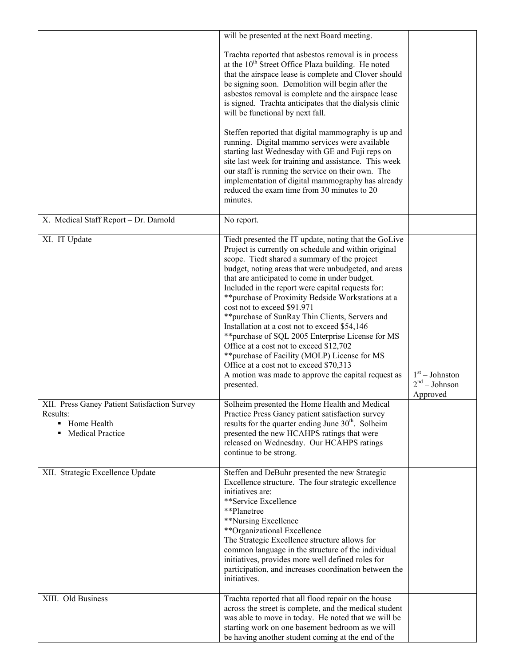|                                                                                                      | will be presented at the next Board meeting.                                                                                                                                                                                                                                                                                                                                                                                                                                                                                                                                                                                                                                                                                                                                          |                                                 |
|------------------------------------------------------------------------------------------------------|---------------------------------------------------------------------------------------------------------------------------------------------------------------------------------------------------------------------------------------------------------------------------------------------------------------------------------------------------------------------------------------------------------------------------------------------------------------------------------------------------------------------------------------------------------------------------------------------------------------------------------------------------------------------------------------------------------------------------------------------------------------------------------------|-------------------------------------------------|
|                                                                                                      | Trachta reported that asbestos removal is in process<br>at the $10th$ Street Office Plaza building. He noted<br>that the airspace lease is complete and Clover should<br>be signing soon. Demolition will begin after the<br>asbestos removal is complete and the airspace lease<br>is signed. Trachta anticipates that the dialysis clinic<br>will be functional by next fall.<br>Steffen reported that digital mammography is up and<br>running. Digital mammo services were available<br>starting last Wednesday with GE and Fuji reps on<br>site last week for training and assistance. This week<br>our staff is running the service on their own. The<br>implementation of digital mammography has already<br>reduced the exam time from 30 minutes to 20<br>minutes.           |                                                 |
| X. Medical Staff Report - Dr. Darnold                                                                | No report.                                                                                                                                                                                                                                                                                                                                                                                                                                                                                                                                                                                                                                                                                                                                                                            |                                                 |
| XI. IT Update                                                                                        | Tiedt presented the IT update, noting that the GoLive<br>Project is currently on schedule and within original<br>scope. Tiedt shared a summary of the project<br>budget, noting areas that were unbudgeted, and areas<br>that are anticipated to come in under budget.<br>Included in the report were capital requests for:<br>** purchase of Proximity Bedside Workstations at a<br>cost not to exceed \$91.971<br>** purchase of SunRay Thin Clients, Servers and<br>Installation at a cost not to exceed \$54,146<br>** purchase of SQL 2005 Enterprise License for MS<br>Office at a cost not to exceed \$12,702<br>** purchase of Facility (MOLP) License for MS<br>Office at a cost not to exceed \$70,313<br>A motion was made to approve the capital request as<br>presented. | $1st - Johnston$<br>$2nd - Johnson$<br>Approved |
| XII. Press Ganey Patient Satisfaction Survey<br>Results:<br>• Home Health<br><b>Medical Practice</b> | Solheim presented the Home Health and Medical<br>Practice Press Ganey patient satisfaction survey<br>results for the quarter ending June 30 <sup>th</sup> . Solheim<br>presented the new HCAHPS ratings that were<br>released on Wednesday. Our HCAHPS ratings<br>continue to be strong.                                                                                                                                                                                                                                                                                                                                                                                                                                                                                              |                                                 |
| XII. Strategic Excellence Update                                                                     | Steffen and DeBuhr presented the new Strategic<br>Excellence structure. The four strategic excellence<br>initiatives are:<br>**Service Excellence<br>**Planetree<br>**Nursing Excellence<br>**Organizational Excellence<br>The Strategic Excellence structure allows for<br>common language in the structure of the individual<br>initiatives, provides more well defined roles for<br>participation, and increases coordination between the<br>initiatives.                                                                                                                                                                                                                                                                                                                          |                                                 |
| XIII. Old Business                                                                                   | Trachta reported that all flood repair on the house<br>across the street is complete, and the medical student<br>was able to move in today. He noted that we will be<br>starting work on one basement bedroom as we will<br>be having another student coming at the end of the                                                                                                                                                                                                                                                                                                                                                                                                                                                                                                        |                                                 |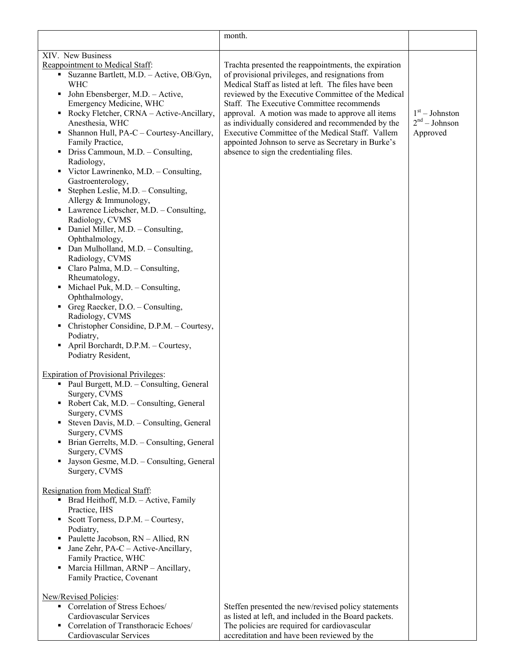|                                                                                                                                                                                                                                                                                                                                                                                                                                                                                                                                                                                                                                                                                                                                                                                                                                      | month.                                                                                                                                                                                                                                                                                                                                                                                                                                                                                                                             |                                                 |
|--------------------------------------------------------------------------------------------------------------------------------------------------------------------------------------------------------------------------------------------------------------------------------------------------------------------------------------------------------------------------------------------------------------------------------------------------------------------------------------------------------------------------------------------------------------------------------------------------------------------------------------------------------------------------------------------------------------------------------------------------------------------------------------------------------------------------------------|------------------------------------------------------------------------------------------------------------------------------------------------------------------------------------------------------------------------------------------------------------------------------------------------------------------------------------------------------------------------------------------------------------------------------------------------------------------------------------------------------------------------------------|-------------------------------------------------|
| XIV. New Business                                                                                                                                                                                                                                                                                                                                                                                                                                                                                                                                                                                                                                                                                                                                                                                                                    |                                                                                                                                                                                                                                                                                                                                                                                                                                                                                                                                    |                                                 |
| Reappointment to Medical Staff:<br>Suzanne Bartlett, M.D. - Active, OB/Gyn,<br><b>WHC</b><br>John Ebensberger, M.D. - Active,<br>٠<br>Emergency Medicine, WHC<br>Rocky Fletcher, CRNA - Active-Ancillary,<br>٠<br>Anesthesia, WHC<br>Shannon Hull, PA-C - Courtesy-Ancillary,<br>Family Practice,<br>Driss Cammoun, M.D. - Consulting,<br>٠<br>Radiology,<br>Victor Lawrinenko, M.D. - Consulting,<br>ш.<br>Gastroenterology,<br>Stephen Leslie, M.D. - Consulting,<br>Allergy & Immunology,<br>• Lawrence Liebscher, M.D. - Consulting,<br>Radiology, CVMS<br>Daniel Miller, M.D. - Consulting,<br>٠<br>Ophthalmology,<br>Dan Mulholland, M.D. - Consulting,<br>Radiology, CVMS<br>• Claro Palma, M.D. - Consulting,<br>Rheumatology,<br>Michael Puk, M.D. - Consulting,<br>٠<br>Ophthalmology,<br>Greg Raecker, D.O. - Consulting, | Trachta presented the reappointments, the expiration<br>of provisional privileges, and resignations from<br>Medical Staff as listed at left. The files have been<br>reviewed by the Executive Committee of the Medical<br>Staff. The Executive Committee recommends<br>approval. A motion was made to approve all items<br>as individually considered and recommended by the<br>Executive Committee of the Medical Staff. Vallem<br>appointed Johnson to serve as Secretary in Burke's<br>absence to sign the credentialing files. | $1st - Johnston$<br>$2nd - Johnson$<br>Approved |
| Radiology, CVMS<br>Christopher Considine, D.P.M. - Courtesy,                                                                                                                                                                                                                                                                                                                                                                                                                                                                                                                                                                                                                                                                                                                                                                         |                                                                                                                                                                                                                                                                                                                                                                                                                                                                                                                                    |                                                 |
| Podiatry,<br>April Borchardt, D.P.M. - Courtesy,<br>Podiatry Resident,                                                                                                                                                                                                                                                                                                                                                                                                                                                                                                                                                                                                                                                                                                                                                               |                                                                                                                                                                                                                                                                                                                                                                                                                                                                                                                                    |                                                 |
| <b>Expiration of Provisional Privileges:</b><br>Paul Burgett, M.D. - Consulting, General<br>٠<br>Surgery, CVMS<br>Robert Cak, M.D. - Consulting, General<br>٠<br>Surgery, CVMS<br>Steven Davis, M.D. - Consulting, General<br>Surgery, CVMS<br>Brian Gerrelts, M.D. - Consulting, General<br>Surgery, CVMS<br>Jayson Gesme, M.D. - Consulting, General<br>Surgery, CVMS                                                                                                                                                                                                                                                                                                                                                                                                                                                              |                                                                                                                                                                                                                                                                                                                                                                                                                                                                                                                                    |                                                 |
| Resignation from Medical Staff:<br>• Brad Heithoff, M.D. - Active, Family<br>Practice, IHS<br>Scott Torness, D.P.M. - Courtesy,<br>٠<br>Podiatry,                                                                                                                                                                                                                                                                                                                                                                                                                                                                                                                                                                                                                                                                                    |                                                                                                                                                                                                                                                                                                                                                                                                                                                                                                                                    |                                                 |
| Paulette Jacobson, RN - Allied, RN<br>Jane Zehr, PA-C - Active-Ancillary,<br>Family Practice, WHC<br>Marcia Hillman, ARNP - Ancillary,<br>٠<br>Family Practice, Covenant                                                                                                                                                                                                                                                                                                                                                                                                                                                                                                                                                                                                                                                             |                                                                                                                                                                                                                                                                                                                                                                                                                                                                                                                                    |                                                 |
| New/Revised Policies:<br>Correlation of Stress Echoes/                                                                                                                                                                                                                                                                                                                                                                                                                                                                                                                                                                                                                                                                                                                                                                               |                                                                                                                                                                                                                                                                                                                                                                                                                                                                                                                                    |                                                 |
| Cardiovascular Services                                                                                                                                                                                                                                                                                                                                                                                                                                                                                                                                                                                                                                                                                                                                                                                                              | Steffen presented the new/revised policy statements<br>as listed at left, and included in the Board packets.                                                                                                                                                                                                                                                                                                                                                                                                                       |                                                 |
| Correlation of Transthoracic Echoes/<br>Cardiovascular Services                                                                                                                                                                                                                                                                                                                                                                                                                                                                                                                                                                                                                                                                                                                                                                      | The policies are required for cardiovascular<br>accreditation and have been reviewed by the                                                                                                                                                                                                                                                                                                                                                                                                                                        |                                                 |